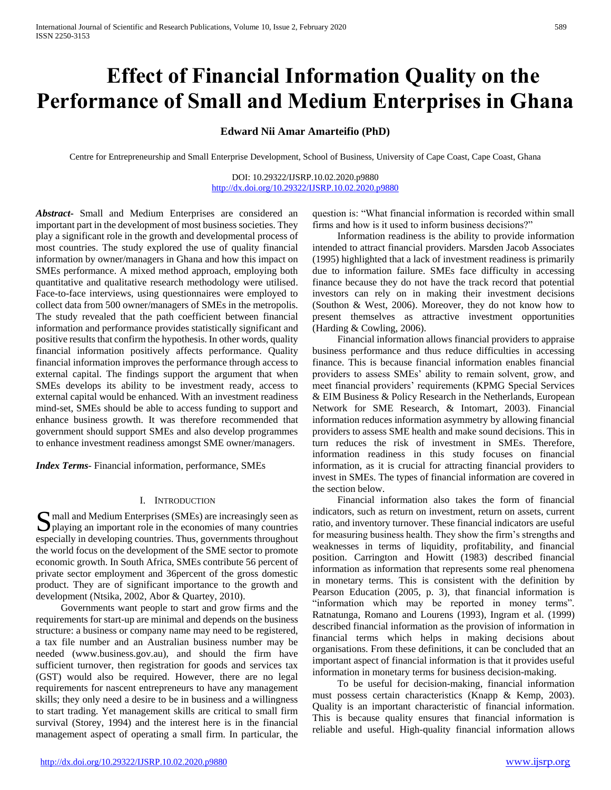# **Effect of Financial Information Quality on the Performance of Small and Medium Enterprises in Ghana**

# **Edward Nii Amar Amarteifio (PhD)**

Centre for Entrepreneurship and Small Enterprise Development, School of Business, University of Cape Coast, Cape Coast, Ghana

DOI: 10.29322/IJSRP.10.02.2020.p9880 <http://dx.doi.org/10.29322/IJSRP.10.02.2020.p9880>

*Abstract***-** Small and Medium Enterprises are considered an important part in the development of most business societies. They play a significant role in the growth and developmental process of most countries. The study explored the use of quality financial information by owner/managers in Ghana and how this impact on SMEs performance. A mixed method approach, employing both quantitative and qualitative research methodology were utilised. Face-to-face interviews, using questionnaires were employed to collect data from 500 owner/managers of SMEs in the metropolis. The study revealed that the path coefficient between financial information and performance provides statistically significant and positive results that confirm the hypothesis. In other words, quality financial information positively affects performance. Quality financial information improves the performance through access to external capital. The findings support the argument that when SMEs develops its ability to be investment ready, access to external capital would be enhanced. With an investment readiness mind-set, SMEs should be able to access funding to support and enhance business growth. It was therefore recommended that government should support SMEs and also develop programmes to enhance investment readiness amongst SME owner/managers.

*Index Terms*- Financial information, performance, SMEs

#### I. INTRODUCTION

mall and Medium Enterprises (SMEs) are increasingly seen as S mall and Medium Enterprises (SMEs) are increasingly seen as playing an important role in the economies of many countries especially in developing countries. Thus, governments throughout the world focus on the development of the SME sector to promote economic growth. In South Africa, SMEs contribute 56 percent of private sector employment and 36percent of the gross domestic product. They are of significant importance to the growth and development (Ntsika, 2002, Abor & Quartey, 2010).

 Governments want people to start and grow firms and the requirements for start-up are minimal and depends on the business structure: a business or company name may need to be registered, a tax file number and an Australian business number may be needed (www.business.gov.au), and should the firm have sufficient turnover, then registration for goods and services tax (GST) would also be required. However, there are no legal requirements for nascent entrepreneurs to have any management skills; they only need a desire to be in business and a willingness to start trading. Yet management skills are critical to small firm survival (Storey, 1994) and the interest here is in the financial management aspect of operating a small firm. In particular, the

question is: "What financial information is recorded within small firms and how is it used to inform business decisions?"

 Information readiness is the ability to provide information intended to attract financial providers. Marsden Jacob Associates (1995) highlighted that a lack of investment readiness is primarily due to information failure. SMEs face difficulty in accessing finance because they do not have the track record that potential investors can rely on in making their investment decisions (Southon & West, 2006). Moreover, they do not know how to present themselves as attractive investment opportunities (Harding & Cowling, 2006).

 Financial information allows financial providers to appraise business performance and thus reduce difficulties in accessing finance. This is because financial information enables financial providers to assess SMEs' ability to remain solvent, grow, and meet financial providers' requirements (KPMG Special Services & EIM Business & Policy Research in the Netherlands, European Network for SME Research, & Intomart, 2003). Financial information reduces information asymmetry by allowing financial providers to assess SME health and make sound decisions. This in turn reduces the risk of investment in SMEs. Therefore, information readiness in this study focuses on financial information, as it is crucial for attracting financial providers to invest in SMEs. The types of financial information are covered in the section below.

 Financial information also takes the form of financial indicators, such as return on investment, return on assets, current ratio, and inventory turnover. These financial indicators are useful for measuring business health. They show the firm's strengths and weaknesses in terms of liquidity, profitability, and financial position. Carrington and Howitt (1983) described financial information as information that represents some real phenomena in monetary terms. This is consistent with the definition by Pearson Education (2005, p. 3), that financial information is "information which may be reported in money terms"*.* Ratnatunga, Romano and Lourens (1993), Ingram et al. (1999) described financial information as the provision of information in financial terms which helps in making decisions about organisations. From these definitions, it can be concluded that an important aspect of financial information is that it provides useful information in monetary terms for business decision-making.

 To be useful for decision-making, financial information must possess certain characteristics (Knapp & Kemp, 2003). Quality is an important characteristic of financial information. This is because quality ensures that financial information is reliable and useful. High-quality financial information allows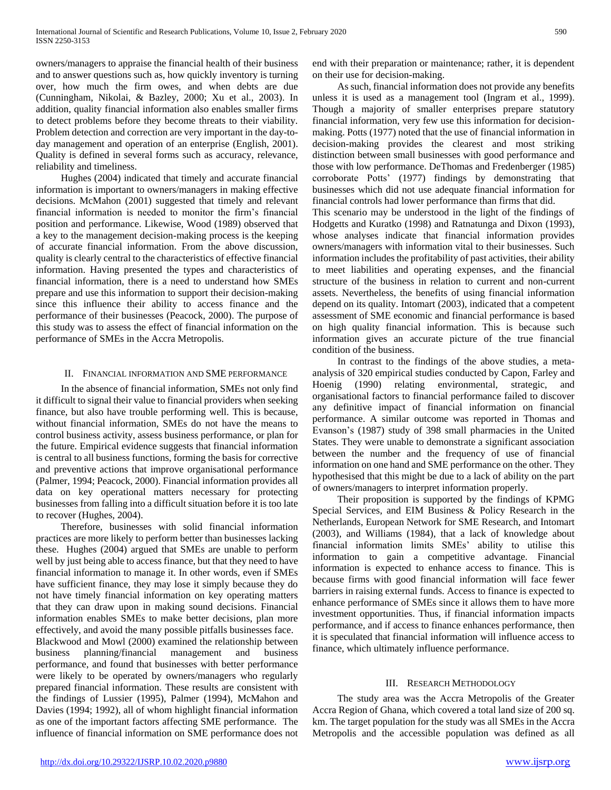owners/managers to appraise the financial health of their business and to answer questions such as, how quickly inventory is turning over, how much the firm owes, and when debts are due (Cunningham, Nikolai, & Bazley, 2000; Xu et al., 2003). In addition, quality financial information also enables smaller firms to detect problems before they become threats to their viability. Problem detection and correction are very important in the day-today management and operation of an enterprise (English, 2001). Quality is defined in several forms such as accuracy, relevance, reliability and timeliness.

 Hughes (2004) indicated that timely and accurate financial information is important to owners/managers in making effective decisions. McMahon (2001) suggested that timely and relevant financial information is needed to monitor the firm's financial position and performance. Likewise, Wood (1989) observed that a key to the management decision-making process is the keeping of accurate financial information. From the above discussion, quality is clearly central to the characteristics of effective financial information. Having presented the types and characteristics of financial information, there is a need to understand how SMEs prepare and use this information to support their decision-making since this influence their ability to access finance and the performance of their businesses (Peacock, 2000). The purpose of this study was to assess the effect of financial information on the performance of SMEs in the Accra Metropolis.

## II. FINANCIAL INFORMATION AND SME PERFORMANCE

 In the absence of financial information, SMEs not only find it difficult to signal their value to financial providers when seeking finance, but also have trouble performing well. This is because, without financial information, SMEs do not have the means to control business activity, assess business performance, or plan for the future. Empirical evidence suggests that financial information is central to all business functions, forming the basis for corrective and preventive actions that improve organisational performance (Palmer, 1994; Peacock, 2000). Financial information provides all data on key operational matters necessary for protecting businesses from falling into a difficult situation before it is too late to recover (Hughes, 2004).

 Therefore, businesses with solid financial information practices are more likely to perform better than businesses lacking these. Hughes (2004) argued that SMEs are unable to perform well by just being able to access finance, but that they need to have financial information to manage it. In other words, even if SMEs have sufficient finance, they may lose it simply because they do not have timely financial information on key operating matters that they can draw upon in making sound decisions. Financial information enables SMEs to make better decisions, plan more effectively, and avoid the many possible pitfalls businesses face. Blackwood and Mowl (2000) examined the relationship between business planning/financial management and business performance, and found that businesses with better performance were likely to be operated by owners/managers who regularly prepared financial information. These results are consistent with the findings of Lussier (1995), Palmer (1994), McMahon and Davies (1994; 1992), all of whom highlight financial information as one of the important factors affecting SME performance. The influence of financial information on SME performance does not

end with their preparation or maintenance; rather, it is dependent on their use for decision-making.

 As such, financial information does not provide any benefits unless it is used as a management tool (Ingram et al., 1999). Though a majority of smaller enterprises prepare statutory financial information, very few use this information for decisionmaking. Potts (1977) noted that the use of financial information in decision-making provides the clearest and most striking distinction between small businesses with good performance and those with low performance. DeThomas and Fredenberger (1985) corroborate Potts' (1977) findings by demonstrating that businesses which did not use adequate financial information for financial controls had lower performance than firms that did.

This scenario may be understood in the light of the findings of Hodgetts and Kuratko (1998) and Ratnatunga and Dixon (1993), whose analyses indicate that financial information provides owners/managers with information vital to their businesses. Such information includes the profitability of past activities, their ability to meet liabilities and operating expenses, and the financial structure of the business in relation to current and non-current assets. Nevertheless, the benefits of using financial information depend on its quality. Intomart (2003), indicated that a competent assessment of SME economic and financial performance is based on high quality financial information. This is because such information gives an accurate picture of the true financial condition of the business.

 In contrast to the findings of the above studies, a metaanalysis of 320 empirical studies conducted by Capon, Farley and Hoenig (1990) relating environmental, strategic, and organisational factors to financial performance failed to discover any definitive impact of financial information on financial performance. A similar outcome was reported in Thomas and Evanson's (1987) study of 398 small pharmacies in the United States. They were unable to demonstrate a significant association between the number and the frequency of use of financial information on one hand and SME performance on the other. They hypothesised that this might be due to a lack of ability on the part of owners/managers to interpret information properly.

 Their proposition is supported by the findings of KPMG Special Services, and EIM Business & Policy Research in the Netherlands, European Network for SME Research, and Intomart (2003), and Williams (1984), that a lack of knowledge about financial information limits SMEs' ability to utilise this information to gain a competitive advantage. Financial information is expected to enhance access to finance. This is because firms with good financial information will face fewer barriers in raising external funds. Access to finance is expected to enhance performance of SMEs since it allows them to have more investment opportunities. Thus, if financial information impacts performance, and if access to finance enhances performance, then it is speculated that financial information will influence access to finance, which ultimately influence performance.

## III. RESEARCH METHODOLOGY

 The study area was the Accra Metropolis of the Greater Accra Region of Ghana, which covered a total land size of 200 sq. km. The target population for the study was all SMEs in the Accra Metropolis and the accessible population was defined as all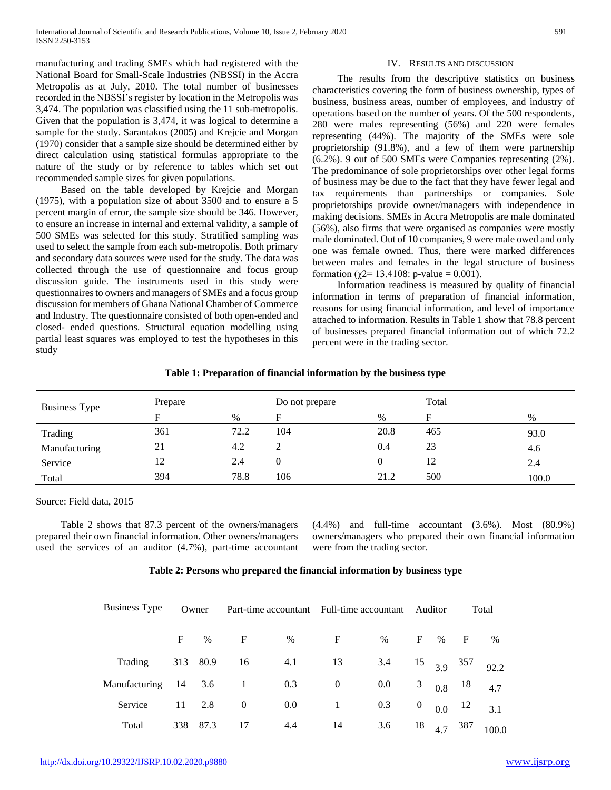manufacturing and trading SMEs which had registered with the National Board for Small-Scale Industries (NBSSI) in the Accra Metropolis as at July, 2010. The total number of businesses recorded in the NBSSI's register by location in the Metropolis was 3,474. The population was classified using the 11 sub-metropolis. Given that the population is 3,474, it was logical to determine a sample for the study. Sarantakos (2005) and Krejcie and Morgan (1970) consider that a sample size should be determined either by direct calculation using statistical formulas appropriate to the nature of the study or by reference to tables which set out recommended sample sizes for given populations.

 Based on the table developed by Krejcie and Morgan (1975), with a population size of about 3500 and to ensure a 5 percent margin of error, the sample size should be 346. However, to ensure an increase in internal and external validity, a sample of 500 SMEs was selected for this study. Stratified sampling was used to select the sample from each sub-metropolis. Both primary and secondary data sources were used for the study. The data was collected through the use of questionnaire and focus group discussion guide. The instruments used in this study were questionnaires to owners and managers of SMEs and a focus group discussion for members of Ghana National Chamber of Commerce and Industry. The questionnaire consisted of both open-ended and closed- ended questions. Structural equation modelling using partial least squares was employed to test the hypotheses in this study

## IV. RESULTS AND DISCUSSION

 The results from the descriptive statistics on business characteristics covering the form of business ownership, types of business, business areas, number of employees, and industry of operations based on the number of years. Of the 500 respondents, 280 were males representing (56%) and 220 were females representing (44%). The majority of the SMEs were sole proprietorship (91.8%), and a few of them were partnership (6.2%). 9 out of 500 SMEs were Companies representing (2%). The predominance of sole proprietorships over other legal forms of business may be due to the fact that they have fewer legal and tax requirements than partnerships or companies. Sole proprietorships provide owner/managers with independence in making decisions. SMEs in Accra Metropolis are male dominated (56%), also firms that were organised as companies were mostly male dominated. Out of 10 companies, 9 were male owed and only one was female owned. Thus, there were marked differences between males and females in the legal structure of business formation (χ2= 13.4108: p-value = 0.001).

 Information readiness is measured by quality of financial information in terms of preparation of financial information, reasons for using financial information, and level of importance attached to information. Results in Table 1 show that 78.8 percent of businesses prepared financial information out of which 72.2 percent were in the trading sector.

| <b>Business Type</b> | Prepare |      | Do not prepare |      | Total |       |
|----------------------|---------|------|----------------|------|-------|-------|
|                      | F       | $\%$ | F              | $\%$ | F     | $\%$  |
| Trading              | 361     | 72.2 | 104            | 20.8 | 465   | 93.0  |
| Manufacturing        | 21      | 4.2  | ∠              | 0.4  | 23    | 4.6   |
| Service              | 12      | 2.4  | 0              |      | 12    | 2.4   |
| Total                | 394     | 78.8 | 106            | 21.2 | 500   | 100.0 |

# **Table 1: Preparation of financial information by the business type**

Source: Field data, 2015

 Table 2 shows that 87.3 percent of the owners/managers prepared their own financial information. Other owners/managers used the services of an auditor (4.7%), part-time accountant (4.4%) and full-time accountant (3.6%). Most (80.9%) owners/managers who prepared their own financial information were from the trading sector.

| <b>Business Type</b> |     | Owner |                  | Part-time accountant Full-time accountant |                  |         |                  | Auditor       |     | Total |
|----------------------|-----|-------|------------------|-------------------------------------------|------------------|---------|------------------|---------------|-----|-------|
|                      | F   | $\%$  | $\mathbf F$      | $\%$                                      | $\mathbf F$      | $\%$    | $\mathbf{F}$     | $\%$          | F   | %     |
| Trading              | 313 | 80.9  | 16               | 4.1                                       | 13               | 3.4     |                  | $15\quad 3.9$ | 357 | 92.2  |
| Manufacturing        | -14 | 3.6   | -1               | 0.3                                       | $\boldsymbol{0}$ | $0.0\,$ | 3                | 0.8           | 18  | 4.7   |
| Service              | 11  | 2.8   | $\boldsymbol{0}$ | $0.0\,$                                   | -1               | 0.3     | $\boldsymbol{0}$ | 0.0           | -12 | 3.1   |
| Total                | 338 | 87.3  | 17               | 4.4                                       | 14               | 3.6     | 18               | 4.7           | 387 |       |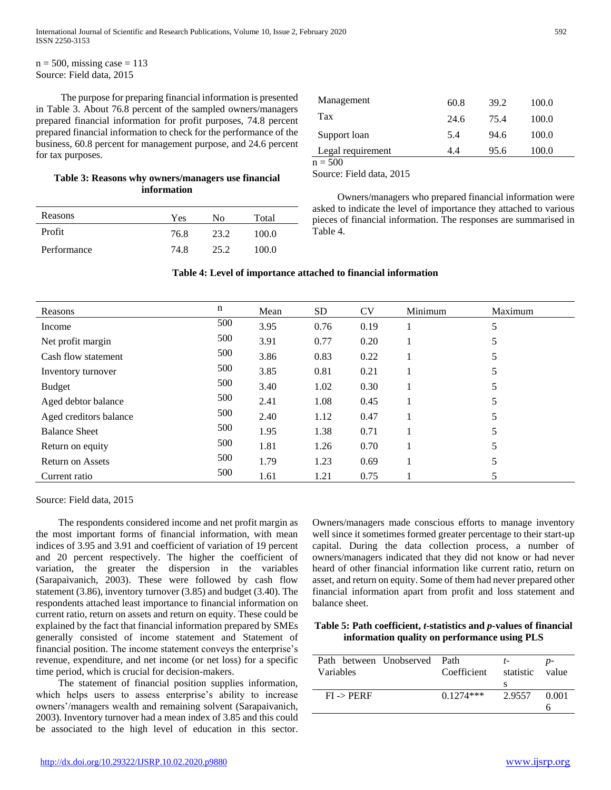$n = 500$ , missing case = 113 Source: Field data, 2015

 The purpose for preparing financial information is presented in Table 3. About 76.8 percent of the sampled owners/managers prepared financial information for profit purposes, 74.8 percent prepared financial information to check for the performance of the business, 60.8 percent for management purpose, and 24.6 percent for tax purposes.

# **Table 3: Reasons why owners/managers use financial information**

| Reasons     | Yes  | Nο   | Total |
|-------------|------|------|-------|
| Profit      | 76.8 | 23.2 | 100.0 |
| Performance | 74.8 | 25.2 | 100.0 |

| Management        | 60.8 | 39.2 | 100.0 |  |
|-------------------|------|------|-------|--|
| Tax               | 24.6 | 75.4 | 100.0 |  |
| Support loan      | 5.4  | 94.6 | 100.0 |  |
| Legal requirement | 4.4  | 95.6 | 100.0 |  |
| $n = 500$         |      |      |       |  |

Source: Field data, 2015

 Owners/managers who prepared financial information were asked to indicate the level of importance they attached to various pieces of financial information. The responses are summarised in Table 4.

## **Table 4: Level of importance attached to financial information**

| Reasons                 | $\mathbf n$ | Mean | <b>SD</b> | <b>CV</b> | Minimum | Maximum |
|-------------------------|-------------|------|-----------|-----------|---------|---------|
| Income                  | 500         | 3.95 | 0.76      | 0.19      |         | 5       |
| Net profit margin       | 500         | 3.91 | 0.77      | 0.20      |         | 5       |
| Cash flow statement     | 500         | 3.86 | 0.83      | 0.22      |         | 5       |
| Inventory turnover      | 500         | 3.85 | 0.81      | 0.21      |         | 5       |
| <b>Budget</b>           | 500         | 3.40 | 1.02      | 0.30      |         | 5       |
| Aged debtor balance     | 500         | 2.41 | 1.08      | 0.45      |         | 5       |
| Aged creditors balance  | 500         | 2.40 | 1.12      | 0.47      |         | 5       |
| <b>Balance Sheet</b>    | 500         | 1.95 | 1.38      | 0.71      |         | 5       |
| Return on equity        | 500         | 1.81 | 1.26      | 0.70      |         | 5       |
| <b>Return on Assets</b> | 500         | 1.79 | 1.23      | 0.69      |         | 5       |
| Current ratio           | 500         | 1.61 | 1.21      | 0.75      |         | 5       |

Source: Field data, 2015

 The respondents considered income and net profit margin as the most important forms of financial information, with mean indices of 3.95 and 3.91 and coefficient of variation of 19 percent and 20 percent respectively. The higher the coefficient of variation, the greater the dispersion in the variables (Sarapaivanich, 2003). These were followed by cash flow statement (3.86), inventory turnover (3.85) and budget (3.40). The respondents attached least importance to financial information on current ratio, return on assets and return on equity. These could be explained by the fact that financial information prepared by SMEs generally consisted of income statement and Statement of financial position. The income statement conveys the enterprise's revenue, expenditure, and net income (or net loss) for a specific time period, which is crucial for decision-makers.

 The statement of financial position supplies information, which helps users to assess enterprise's ability to increase owners'/managers wealth and remaining solvent (Sarapaivanich, 2003). Inventory turnover had a mean index of 3.85 and this could be associated to the high level of education in this sector.

Owners/managers made conscious efforts to manage inventory well since it sometimes formed greater percentage to their start-up capital. During the data collection process, a number of owners/managers indicated that they did not know or had never heard of other financial information like current ratio, return on asset, and return on equity. Some of them had never prepared other financial information apart from profit and loss statement and balance sheet.

# **Table 5: Path coefficient,** *t***-statistics and** *p***-values of financial information quality on performance using PLS**

| Path between Unobserved Path<br>Variables | Coefficient | $t-$<br>statistic | – value |
|-------------------------------------------|-------------|-------------------|---------|
| $FI \rightarrow PERRF$                    | $0.1274***$ | 2.9557            | 0.001   |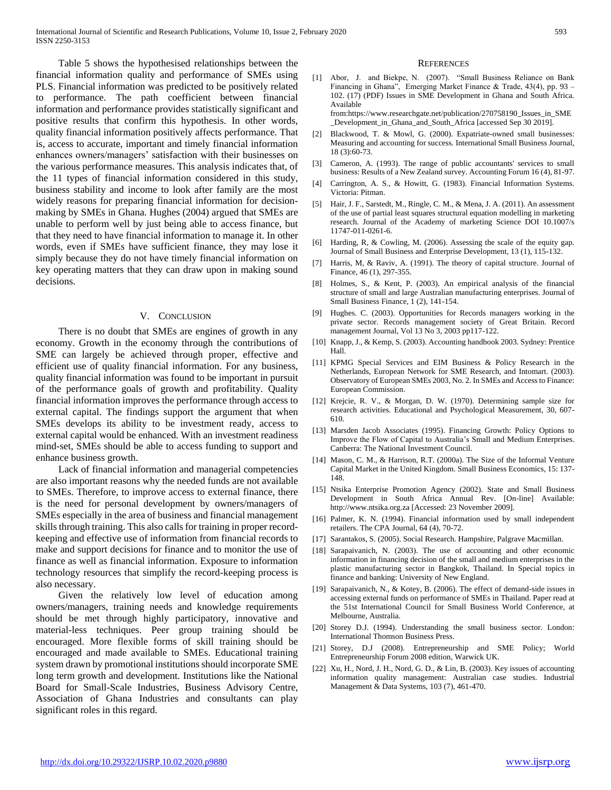Table 5 shows the hypothesised relationships between the financial information quality and performance of SMEs using PLS. Financial information was predicted to be positively related to performance. The path coefficient between financial information and performance provides statistically significant and positive results that confirm this hypothesis. In other words, quality financial information positively affects performance. That is, access to accurate, important and timely financial information enhances owners/managers' satisfaction with their businesses on the various performance measures. This analysis indicates that, of the 11 types of financial information considered in this study, business stability and income to look after family are the most widely reasons for preparing financial information for decisionmaking by SMEs in Ghana. Hughes (2004) argued that SMEs are unable to perform well by just being able to access finance, but that they need to have financial information to manage it. In other words, even if SMEs have sufficient finance, they may lose it simply because they do not have timely financial information on key operating matters that they can draw upon in making sound decisions.

#### V. CONCLUSION

 There is no doubt that SMEs are engines of growth in any economy. Growth in the economy through the contributions of SME can largely be achieved through proper, effective and efficient use of quality financial information. For any business, quality financial information was found to be important in pursuit of the performance goals of growth and profitability. Quality financial information improves the performance through access to external capital. The findings support the argument that when SMEs develops its ability to be investment ready, access to external capital would be enhanced. With an investment readiness mind-set, SMEs should be able to access funding to support and enhance business growth.

 Lack of financial information and managerial competencies are also important reasons why the needed funds are not available to SMEs. Therefore, to improve access to external finance, there is the need for personal development by owners/managers of SMEs especially in the area of business and financial management skills through training. This also calls for training in proper recordkeeping and effective use of information from financial records to make and support decisions for finance and to monitor the use of finance as well as financial information. Exposure to information technology resources that simplify the record-keeping process is also necessary.

 Given the relatively low level of education among owners/managers, training needs and knowledge requirements should be met through highly participatory, innovative and material-less techniques. Peer group training should be encouraged. More flexible forms of skill training should be encouraged and made available to SMEs. Educational training system drawn by promotional institutions should incorporate SME long term growth and development. Institutions like the National Board for Small-Scale Industries, Business Advisory Centre, Association of Ghana Industries and consultants can play significant roles in this regard.

#### **REFERENCES**

[1] Abor, J. and Biekpe, N. (2007). "Small Business Reliance on Bank Financing in Ghana", Emerging Market Finance & Trade, 43(4), pp. 93 – 102. (17) (PDF) Issues in SME Development in Ghana and South Africa. Available from:https://www.researchgate.net/publication/270758190\_Issues\_in\_SME

\_Development\_in\_Ghana\_and\_South\_Africa [accessed Sep 30 2019].

- [2] Blackwood, T. & Mowl, G. (2000). Expatriate-owned small businesses: Measuring and accounting for success. International Small Business Journal, 18 (3):60-73.
- [3] Cameron, A. (1993). The range of public accountants' services to small business: Results of a New Zealand survey. Accounting Forum 16 (4), 81-97.
- [4] Carrington, A. S., & Howitt, G. (1983). Financial Information Systems. Victoria: Pitman.
- [5] Hair, J. F., Sarstedt, M., Ringle, C. M., & Mena, J. A. (2011). An assessment of the use of partial least squares structural equation modelling in marketing research. Journal of the Academy of marketing Science DOI 10.1007/s 11747-011-0261-6.
- [6] Harding, R, & Cowling, M. (2006). Assessing the scale of the equity gap. Journal of Small Business and Enterprise Development, 13 (1), 115-132.
- [7] Harris, M, & Raviv, A. (1991). The theory of capital structure. Journal of Finance, 46 (1), 297-355.
- [8] Holmes, S., & Kent, P. (2003). An empirical analysis of the financial structure of small and large Australian manufacturing enterprises. Journal of Small Business Finance, 1 (2), 141-154.
- [9] Hughes. C. (2003). Opportunities for Records managers working in the private sector. Records management society of Great Britain. Record management Journal, Vol 13 No 3, 2003 pp117-122.
- [10] Knapp, J., & Kemp, S. (2003). Accounting handbook 2003. Sydney: Prentice Hall.
- [11] KPMG Special Services and EIM Business & Policy Research in the Netherlands, European Network for SME Research, and Intomart. (2003). Observatory of European SMEs 2003, No. 2. In SMEs and Access to Finance: European Commission.
- [12] Krejcie, R. V., & Morgan, D. W. (1970). Determining sample size for research activities. Educational and Psychological Measurement, 30, 607- 610.
- [13] Marsden Jacob Associates (1995). Financing Growth: Policy Options to Improve the Flow of Capital to Australia's Small and Medium Enterprises. Canberra: The National Investment Council.
- [14] Mason, C. M., & Harrison, R.T. (2000a). The Size of the Informal Venture Capital Market in the United Kingdom. Small Business Economics, 15: 137- 148.
- [15] Ntsika Enterprise Promotion Agency (2002). State and Small Business Development in South Africa Annual Rev. [On-line] Available: http://www.ntsika.org.za [Accessed: 23 November 2009].
- [16] Palmer, K. N. (1994). Financial information used by small independent retailers. The CPA Journal, 64 (4), 70-72.
- [17] Sarantakos, S. (2005). Social Research. Hampshire, Palgrave Macmillan.
- [18] Sarapaivanich, N. (2003). The use of accounting and other economic information in financing decision of the small and medium enterprises in the plastic manufacturing sector in Bangkok, Thailand. In Special topics in finance and banking: University of New England.
- [19] Sarapaivanich, N., & Kotey, B. (2006). The effect of demand-side issues in accessing external funds on performance of SMEs in Thailand. Paper read at the 51st International Council for Small Business World Conference, at Melbourne, Australia.
- [20] Storey D.J. (1994). Understanding the small business sector. London: International Thomson Business Press.
- [21] Storey, D.J (2008). Entrepreneurship and SME Policy; World Entrepreneurship Forum 2008 edition, Warwick UK.
- [22] Xu, H., Nord, J. H., Nord, G. D., & Lin, B. (2003). Key issues of accounting information quality management: Australian case studies. Industrial Management & Data Systems, 103 (7), 461-470.